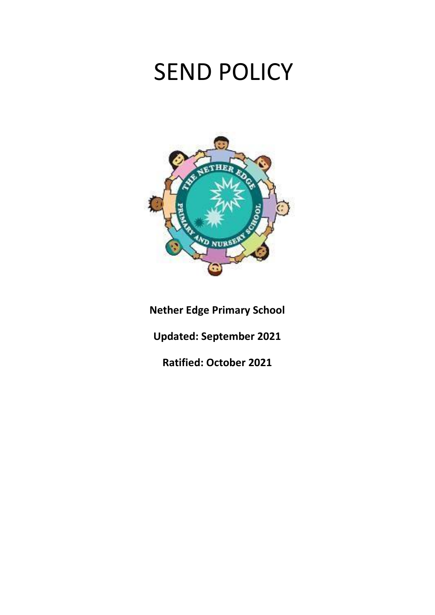# SEND POLICY



**Nether Edge Primary School**

**Updated: September 2021**

**Ratified: October 2021**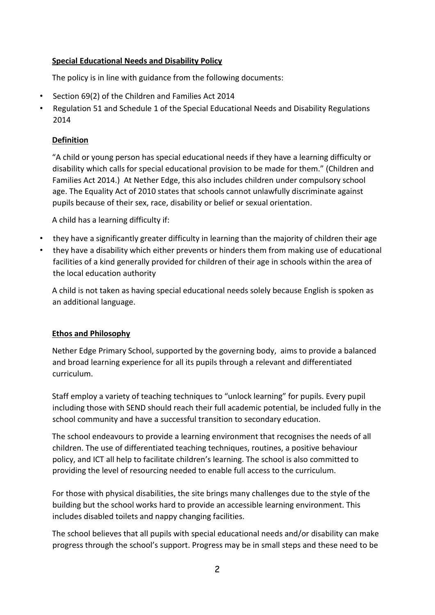## **Special Educational Needs and Disability Policy**

The policy is in line with guidance from the following documents:

- Section 69(2) of the Children and Families Act 2014
- Regulation 51 and Schedule 1 of the Special Educational Needs and Disability Regulations 2014

#### **Definition**

"A child or young person has special educational needs if they have a learning difficulty or disability which calls for special educational provision to be made for them." (Children and Families Act 2014.) At Nether Edge, this also includes children under compulsory school age. The Equality Act of 2010 states that schools cannot unlawfully discriminate against pupils because of their sex, race, disability or belief or sexual orientation.

A child has a learning difficulty if:

- they have a significantly greater difficulty in learning than the majority of children their age
- they have a disability which either prevents or hinders them from making use of educational facilities of a kind generally provided for children of their age in schools within the area of the local education authority

A child is not taken as having special educational needs solely because English is spoken as an additional language.

#### **Ethos and Philosophy**

Nether Edge Primary School, supported by the governing body, aims to provide a balanced and broad learning experience for all its pupils through a relevant and differentiated curriculum.

Staff employ a variety of teaching techniques to "unlock learning" for pupils. Every pupil including those with SEND should reach their full academic potential, be included fully in the school community and have a successful transition to secondary education.

The school endeavours to provide a learning environment that recognises the needs of all children. The use of differentiated teaching techniques, routines, a positive behaviour policy, and ICT all help to facilitate children's learning. The school is also committed to providing the level of resourcing needed to enable full access to the curriculum.

For those with physical disabilities, the site brings many challenges due to the style of the building but the school works hard to provide an accessible learning environment. This includes disabled toilets and nappy changing facilities.

The school believes that all pupils with special educational needs and/or disability can make progress through the school's support. Progress may be in small steps and these need to be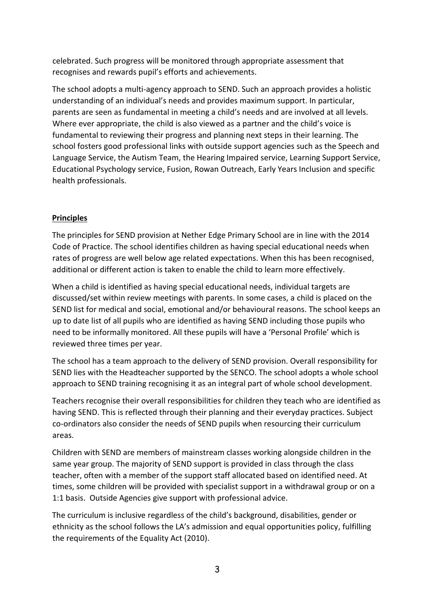celebrated. Such progress will be monitored through appropriate assessment that recognises and rewards pupil's efforts and achievements.

The school adopts a multi-agency approach to SEND. Such an approach provides a holistic understanding of an individual's needs and provides maximum support. In particular, parents are seen as fundamental in meeting a child's needs and are involved at all levels. Where ever appropriate, the child is also viewed as a partner and the child's voice is fundamental to reviewing their progress and planning next steps in their learning. The school fosters good professional links with outside support agencies such as the Speech and Language Service, the Autism Team, the Hearing Impaired service, Learning Support Service, Educational Psychology service, Fusion, Rowan Outreach, Early Years Inclusion and specific health professionals.

## **Principles**

The principles for SEND provision at Nether Edge Primary School are in line with the 2014 Code of Practice. The school identifies children as having special educational needs when rates of progress are well below age related expectations. When this has been recognised, additional or different action is taken to enable the child to learn more effectively.

When a child is identified as having special educational needs, individual targets are discussed/set within review meetings with parents. In some cases, a child is placed on the SEND list for medical and social, emotional and/or behavioural reasons. The school keeps an up to date list of all pupils who are identified as having SEND including those pupils who need to be informally monitored. All these pupils will have a 'Personal Profile' which is reviewed three times per year.

The school has a team approach to the delivery of SEND provision. Overall responsibility for SEND lies with the Headteacher supported by the SENCO. The school adopts a whole school approach to SEND training recognising it as an integral part of whole school development.

Teachers recognise their overall responsibilities for children they teach who are identified as having SEND. This is reflected through their planning and their everyday practices. Subject co-ordinators also consider the needs of SEND pupils when resourcing their curriculum areas.

Children with SEND are members of mainstream classes working alongside children in the same year group. The majority of SEND support is provided in class through the class teacher, often with a member of the support staff allocated based on identified need. At times, some children will be provided with specialist support in a withdrawal group or on a 1:1 basis. Outside Agencies give support with professional advice.

The curriculum is inclusive regardless of the child's background, disabilities, gender or ethnicity as the school follows the LA's admission and equal opportunities policy, fulfilling the requirements of the Equality Act (2010).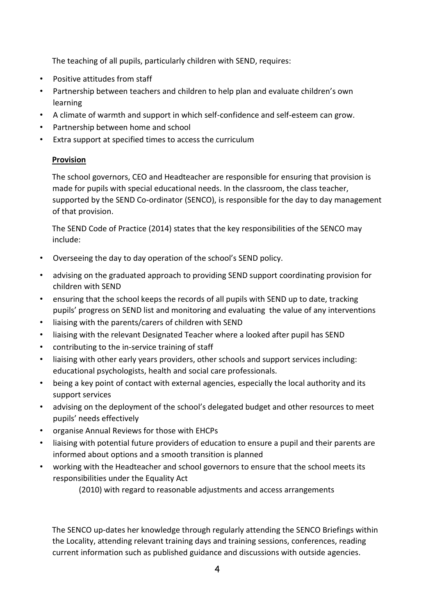The teaching of all pupils, particularly children with SEND, requires:

- Positive attitudes from staff
- Partnership between teachers and children to help plan and evaluate children's own learning
- A climate of warmth and support in which self-confidence and self-esteem can grow.
- Partnership between home and school
- Extra support at specified times to access the curriculum

## **Provision**

The school governors, CEO and Headteacher are responsible for ensuring that provision is made for pupils with special educational needs. In the classroom, the class teacher, supported by the SEND Co-ordinator (SENCO), is responsible for the day to day management of that provision.

The SEND Code of Practice (2014) states that the key responsibilities of the SENCO may include:

- Overseeing the day to day operation of the school's SEND policy.
- advising on the graduated approach to providing SEND support coordinating provision for children with SEND
- ensuring that the school keeps the records of all pupils with SEND up to date, tracking pupils' progress on SEND list and monitoring and evaluating the value of any interventions
- liaising with the parents/carers of children with SEND
- liaising with the relevant Designated Teacher where a looked after pupil has SEND
- contributing to the in-service training of staff
- liaising with other early years providers, other schools and support services including: educational psychologists, health and social care professionals.
- being a key point of contact with external agencies, especially the local authority and its support services
- advising on the deployment of the school's delegated budget and other resources to meet pupils' needs effectively
- organise Annual Reviews for those with EHCPs
- liaising with potential future providers of education to ensure a pupil and their parents are informed about options and a smooth transition is planned
- working with the Headteacher and school governors to ensure that the school meets its responsibilities under the Equality Act

(2010) with regard to reasonable adjustments and access arrangements

The SENCO up-dates her knowledge through regularly attending the SENCO Briefings within the Locality, attending relevant training days and training sessions, conferences, reading current information such as published guidance and discussions with outside agencies.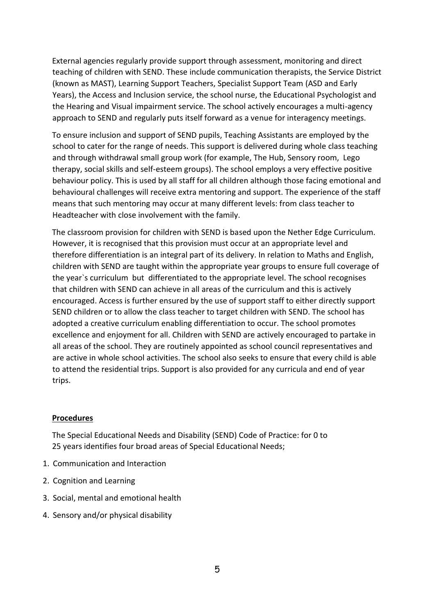External agencies regularly provide support through assessment, monitoring and direct teaching of children with SEND. These include communication therapists, the Service District (known as MAST), Learning Support Teachers, Specialist Support Team (ASD and Early Years), the Access and Inclusion service, the school nurse, the Educational Psychologist and the Hearing and Visual impairment service. The school actively encourages a multi-agency approach to SEND and regularly puts itself forward as a venue for interagency meetings.

To ensure inclusion and support of SEND pupils, Teaching Assistants are employed by the school to cater for the range of needs. This support is delivered during whole class teaching and through withdrawal small group work (for example, The Hub, Sensory room, Lego therapy, social skills and self-esteem groups). The school employs a very effective positive behaviour policy. This is used by all staff for all children although those facing emotional and behavioural challenges will receive extra mentoring and support. The experience of the staff means that such mentoring may occur at many different levels: from class teacher to Headteacher with close involvement with the family.

The classroom provision for children with SEND is based upon the Nether Edge Curriculum. However, it is recognised that this provision must occur at an appropriate level and therefore differentiation is an integral part of its delivery. In relation to Maths and English, children with SEND are taught within the appropriate year groups to ensure full coverage of the year`s curriculum but differentiated to the appropriate level. The school recognises that children with SEND can achieve in all areas of the curriculum and this is actively encouraged. Access is further ensured by the use of support staff to either directly support SEND children or to allow the class teacher to target children with SEND. The school has adopted a creative curriculum enabling differentiation to occur. The school promotes excellence and enjoyment for all. Children with SEND are actively encouraged to partake in all areas of the school. They are routinely appointed as school council representatives and are active in whole school activities. The school also seeks to ensure that every child is able to attend the residential trips. Support is also provided for any curricula and end of year trips.

#### **Procedures**

The Special Educational Needs and Disability (SEND) Code of Practice: for 0 to 25 years identifies four broad areas of Special Educational Needs;

- 1. Communication and Interaction
- 2. Cognition and Learning
- 3. Social, mental and emotional health
- 4. Sensory and/or physical disability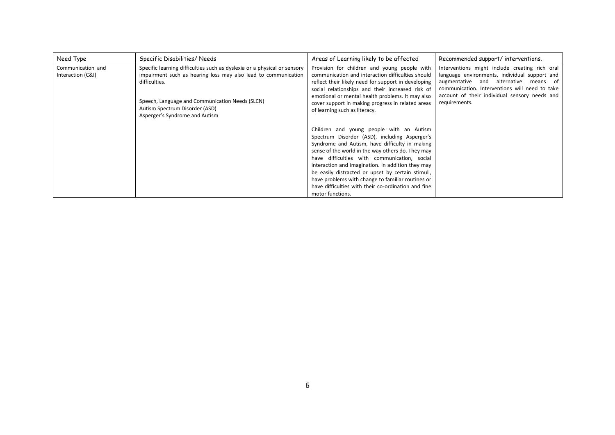| Need Type                              | Specific Disabilities/ Needs                                                                                                                                | Areas of Learning likely to be affected                                                                                                                                                                                                                                                                                                                                                                                                                                                                                                                                                                                   | Recommended support/interventions. |
|----------------------------------------|-------------------------------------------------------------------------------------------------------------------------------------------------------------|---------------------------------------------------------------------------------------------------------------------------------------------------------------------------------------------------------------------------------------------------------------------------------------------------------------------------------------------------------------------------------------------------------------------------------------------------------------------------------------------------------------------------------------------------------------------------------------------------------------------------|------------------------------------|
| Communication and<br>Interaction (C&I) | Specific learning difficulties such as dyslexia or a physical or sensory<br>impairment such as hearing loss may also lead to communication<br>difficulties. | Provision for children and young people with<br>Interventions might include creating rich oral<br>language environments, individual support and<br>communication and interaction difficulties should<br>augmentative and alternative<br>means of<br>reflect their likely need for support in developing<br>communication. Interventions will need to take<br>social relationships and their increased risk of<br>account of their individual sensory needs and<br>emotional or mental health problems. It may also<br>requirements.<br>cover support in making progress in related areas<br>of learning such as literacy. |                                    |
|                                        | Speech, Language and Communication Needs (SLCN)<br>Autism Spectrum Disorder (ASD)<br>Asperger's Syndrome and Autism                                         |                                                                                                                                                                                                                                                                                                                                                                                                                                                                                                                                                                                                                           |                                    |
|                                        |                                                                                                                                                             | Children and young people with an Autism                                                                                                                                                                                                                                                                                                                                                                                                                                                                                                                                                                                  |                                    |
|                                        |                                                                                                                                                             | Spectrum Disorder (ASD), including Asperger's                                                                                                                                                                                                                                                                                                                                                                                                                                                                                                                                                                             |                                    |
|                                        |                                                                                                                                                             | Syndrome and Autism, have difficulty in making                                                                                                                                                                                                                                                                                                                                                                                                                                                                                                                                                                            |                                    |
|                                        |                                                                                                                                                             | sense of the world in the way others do. They may                                                                                                                                                                                                                                                                                                                                                                                                                                                                                                                                                                         |                                    |
|                                        |                                                                                                                                                             | have difficulties with communication, social                                                                                                                                                                                                                                                                                                                                                                                                                                                                                                                                                                              |                                    |
|                                        |                                                                                                                                                             | interaction and imagination. In addition they may                                                                                                                                                                                                                                                                                                                                                                                                                                                                                                                                                                         |                                    |
|                                        |                                                                                                                                                             | be easily distracted or upset by certain stimuli,                                                                                                                                                                                                                                                                                                                                                                                                                                                                                                                                                                         |                                    |
|                                        |                                                                                                                                                             | have problems with change to familiar routines or                                                                                                                                                                                                                                                                                                                                                                                                                                                                                                                                                                         |                                    |
|                                        |                                                                                                                                                             | have difficulties with their co-ordination and fine                                                                                                                                                                                                                                                                                                                                                                                                                                                                                                                                                                       |                                    |
|                                        |                                                                                                                                                             | motor functions.                                                                                                                                                                                                                                                                                                                                                                                                                                                                                                                                                                                                          |                                    |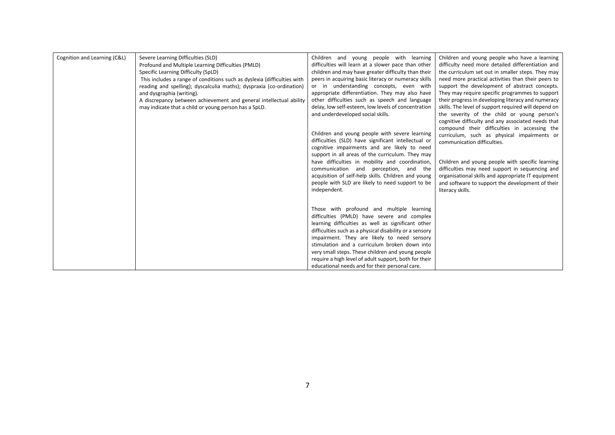| Cognition and Learning (C&L) | Severe Learning Difficulties (SLD)                                      | Children and young people with learning                 | Children and young people who have a learning        |
|------------------------------|-------------------------------------------------------------------------|---------------------------------------------------------|------------------------------------------------------|
|                              | Profound and Multiple Learning Difficulties (PMLD)                      | difficulties will learn at a slower pace than other     | difficulty need more detailed differentiation and    |
|                              | Specific Learning Difficulty (SpLD)                                     | children and may have greater difficulty than their     | the curriculum set out in smaller steps. They may    |
|                              | This includes a range of conditions such as dyslexia (difficulties with | peers in acquiring basic literacy or numeracy skills    | need more practical activities than their peers to   |
|                              | reading and spelling); dyscalculia maths); dyspraxia (co-ordination)    | or in understanding concepts, even with                 | support the development of abstract concepts.        |
|                              | and dysgraphia (writing).                                               | appropriate differentiation. They may also have         | They may require specific programmes to support      |
|                              | A discrepancy between achievement and general intellectual ability      | other difficulties such as speech and language          | their progress in developing literacy and numeracy   |
|                              | may indicate that a child or young person has a SpLD.                   | delay, low self-esteem, low levels of concentration     | skills. The level of support required will depend on |
|                              |                                                                         | and underdeveloped social skills.                       | the severity of the child or young person's          |
|                              |                                                                         |                                                         | cognitive difficulty and any associated needs that   |
|                              |                                                                         |                                                         | compound their difficulties in accessing the         |
|                              |                                                                         | Children and young people with severe learning          | curriculum, such as physical impairments or          |
|                              |                                                                         | difficulties (SLD) have significant intellectual or     | communication difficulties.                          |
|                              |                                                                         | cognitive impairments and are likely to need            |                                                      |
|                              |                                                                         | support in all areas of the curriculum. They may        |                                                      |
|                              |                                                                         | have difficulties in mobility and coordination,         | Children and young people with specific learning     |
|                              |                                                                         | communication and perception, and the                   | difficulties may need support in sequencing and      |
|                              |                                                                         | acquisition of self-help skills. Children and young     | organisational skills and appropriate IT equipment   |
|                              |                                                                         | people with SLD are likely to need support to be        | and software to support the development of their     |
|                              |                                                                         | independent.                                            | literacy skills.                                     |
|                              |                                                                         |                                                         |                                                      |
|                              |                                                                         |                                                         |                                                      |
|                              |                                                                         | Those with profound and multiple learning               |                                                      |
|                              |                                                                         | difficulties (PMLD) have severe and complex             |                                                      |
|                              |                                                                         | learning difficulties as well as significant other      |                                                      |
|                              |                                                                         | difficulties such as a physical disability or a sensory |                                                      |
|                              |                                                                         | impairment. They are likely to need sensory             |                                                      |
|                              |                                                                         | stimulation and a curriculum broken down into           |                                                      |
|                              |                                                                         | very small steps. These children and young people       |                                                      |
|                              |                                                                         | require a high level of adult support, both for their   |                                                      |
|                              |                                                                         | educational needs and for their personal care.          |                                                      |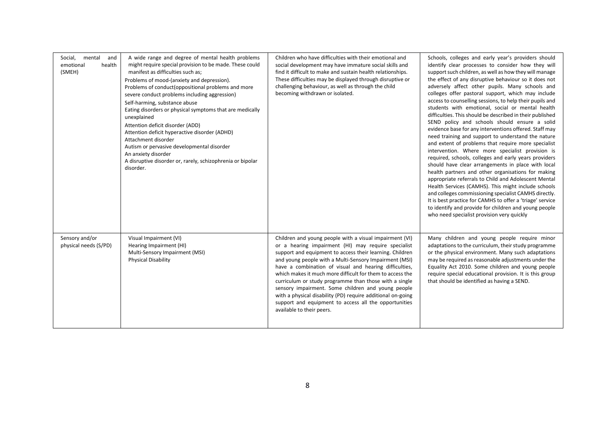|                                                           |                                                                                                                                                                                                                                                                                                                                                                                                                                                                                                                                                                                                                                                                                | Children who have difficulties with their emotional and                                                                                                                                                                                                                                                                                                                                                                                                                                                                                                                                                                          |                                                                                                                                                                                                                                                                                                                                                                                                                                                                                                                                                                                                                                                                                                                                                                                                                                                                                                                                                                                                                                                                                                                                                                                                                                                                                                                 |
|-----------------------------------------------------------|--------------------------------------------------------------------------------------------------------------------------------------------------------------------------------------------------------------------------------------------------------------------------------------------------------------------------------------------------------------------------------------------------------------------------------------------------------------------------------------------------------------------------------------------------------------------------------------------------------------------------------------------------------------------------------|----------------------------------------------------------------------------------------------------------------------------------------------------------------------------------------------------------------------------------------------------------------------------------------------------------------------------------------------------------------------------------------------------------------------------------------------------------------------------------------------------------------------------------------------------------------------------------------------------------------------------------|-----------------------------------------------------------------------------------------------------------------------------------------------------------------------------------------------------------------------------------------------------------------------------------------------------------------------------------------------------------------------------------------------------------------------------------------------------------------------------------------------------------------------------------------------------------------------------------------------------------------------------------------------------------------------------------------------------------------------------------------------------------------------------------------------------------------------------------------------------------------------------------------------------------------------------------------------------------------------------------------------------------------------------------------------------------------------------------------------------------------------------------------------------------------------------------------------------------------------------------------------------------------------------------------------------------------|
| Social,<br>mental<br>and<br>emotional<br>health<br>(SMEH) | A wide range and degree of mental health problems<br>might require special provision to be made. These could<br>manifest as difficulties such as;<br>Problems of mood-(anxiety and depression).<br>Problems of conduct(oppositional problems and more<br>severe conduct problems including aggression)<br>Self-harming, substance abuse<br>Eating disorders or physical symptoms that are medically<br>unexplained<br>Attention deficit disorder (ADD)<br>Attention deficit hyperactive disorder (ADHD)<br>Attachment disorder<br>Autism or pervasive developmental disorder<br>An anxiety disorder<br>A disruptive disorder or, rarely, schizophrenia or bipolar<br>disorder. | social development may have immature social skills and<br>find it difficult to make and sustain health relationships.<br>These difficulties may be displayed through disruptive or<br>challenging behaviour, as well as through the child<br>becoming withdrawn or isolated.                                                                                                                                                                                                                                                                                                                                                     | Schools, colleges and early year's providers should<br>identify clear processes to consider how they will<br>support such children, as well as how they will manage<br>the effect of any disruptive behaviour so it does not<br>adversely affect other pupils. Many schools and<br>colleges offer pastoral support, which may include<br>access to counselling sessions, to help their pupils and<br>students with emotional, social or mental health<br>difficulties. This should be described in their published<br>SEND policy and schools should ensure a solid<br>evidence base for any interventions offered. Staff may<br>need training and support to understand the nature<br>and extent of problems that require more specialist<br>intervention. Where more specialist provision is<br>required, schools, colleges and early years providers<br>should have clear arrangements in place with local<br>health partners and other organisations for making<br>appropriate referrals to Child and Adolescent Mental<br>Health Services (CAMHS). This might include schools<br>and colleges commissioning specialist CAMHS directly.<br>It is best practice for CAMHS to offer a 'triage' service<br>to identify and provide for children and young people<br>who need specialist provision very quickly |
| Sensory and/or<br>physical needs (S/PD)                   | Visual Impairment (VI)<br>Hearing Impairment (HI)<br>Multi-Sensory Impairment (MSI)<br><b>Physical Disability</b>                                                                                                                                                                                                                                                                                                                                                                                                                                                                                                                                                              | Children and young people with a visual impairment (VI)<br>or a hearing impairment (HI) may require specialist<br>support and equipment to access their learning. Children<br>and young people with a Multi-Sensory Impairment (MSI)<br>have a combination of visual and hearing difficulties,<br>which makes it much more difficult for them to access the<br>curriculum or study programme than those with a single<br>sensory impairment. Some children and young people<br>with a physical disability (PD) require additional on-going<br>support and equipment to access all the opportunities<br>available to their peers. | Many children and young people require minor<br>adaptations to the curriculum, their study programme<br>or the physical environment. Many such adaptations<br>may be required as reasonable adjustments under the<br>Equality Act 2010. Some children and young people<br>require special educational provision. It is this group<br>that should be identified as having a SEND.                                                                                                                                                                                                                                                                                                                                                                                                                                                                                                                                                                                                                                                                                                                                                                                                                                                                                                                                |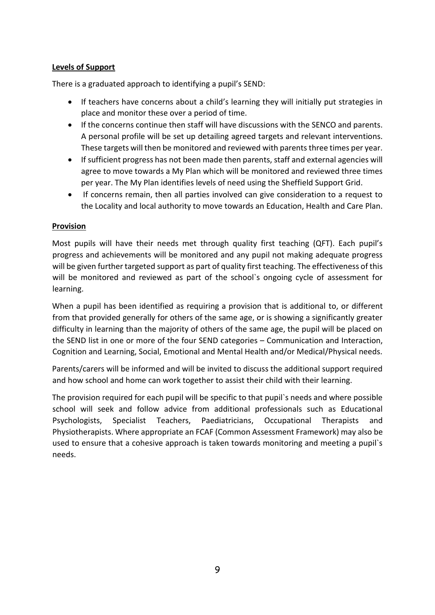## **Levels of Support**

There is a graduated approach to identifying a pupil's SEND:

- If teachers have concerns about a child's learning they will initially put strategies in place and monitor these over a period of time.
- If the concerns continue then staff will have discussions with the SENCO and parents. A personal profile will be set up detailing agreed targets and relevant interventions. These targets will then be monitored and reviewed with parents three times per year.
- If sufficient progress has not been made then parents, staff and external agencies will agree to move towards a My Plan which will be monitored and reviewed three times per year. The My Plan identifies levels of need using the Sheffield Support Grid.
- If concerns remain, then all parties involved can give consideration to a request to the Locality and local authority to move towards an Education, Health and Care Plan.

## **Provision**

Most pupils will have their needs met through quality first teaching (QFT). Each pupil's progress and achievements will be monitored and any pupil not making adequate progress will be given further targeted support as part of quality first teaching. The effectiveness of this will be monitored and reviewed as part of the school`s ongoing cycle of assessment for learning.

When a pupil has been identified as requiring a provision that is additional to, or different from that provided generally for others of the same age, or is showing a significantly greater difficulty in learning than the majority of others of the same age, the pupil will be placed on the SEND list in one or more of the four SEND categories – Communication and Interaction, Cognition and Learning, Social, Emotional and Mental Health and/or Medical/Physical needs.

Parents/carers will be informed and will be invited to discuss the additional support required and how school and home can work together to assist their child with their learning.

The provision required for each pupil will be specific to that pupil`s needs and where possible school will seek and follow advice from additional professionals such as Educational Psychologists, Specialist Teachers, Paediatricians, Occupational Therapists and Physiotherapists. Where appropriate an FCAF (Common Assessment Framework) may also be used to ensure that a cohesive approach is taken towards monitoring and meeting a pupil`s needs.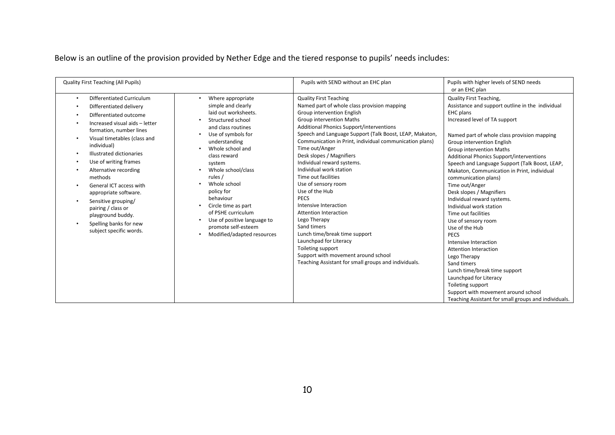Below is an outline of the provision provided by Nether Edge and the tiered response to pupils' needs includes:

| <b>Quality First Teaching (All Pupils)</b>                                                                                                                                                                                                                                                                                                                                                                                                                                  |                                                                                                                                                                                                                                                                                                                                                                                                                                        | Pupils with SEND without an EHC plan                                                                                                                                                                                                                                                                                                                                                                                                                                                                                                                                                                                                                                                                                                                                                | Pupils with higher levels of SEND needs<br>or an EHC plan                                                                                                                                                                                                                                                                                                                                                                                                                                                                                                                                                                                                                                                                                                                                                                                                                   |
|-----------------------------------------------------------------------------------------------------------------------------------------------------------------------------------------------------------------------------------------------------------------------------------------------------------------------------------------------------------------------------------------------------------------------------------------------------------------------------|----------------------------------------------------------------------------------------------------------------------------------------------------------------------------------------------------------------------------------------------------------------------------------------------------------------------------------------------------------------------------------------------------------------------------------------|-------------------------------------------------------------------------------------------------------------------------------------------------------------------------------------------------------------------------------------------------------------------------------------------------------------------------------------------------------------------------------------------------------------------------------------------------------------------------------------------------------------------------------------------------------------------------------------------------------------------------------------------------------------------------------------------------------------------------------------------------------------------------------------|-----------------------------------------------------------------------------------------------------------------------------------------------------------------------------------------------------------------------------------------------------------------------------------------------------------------------------------------------------------------------------------------------------------------------------------------------------------------------------------------------------------------------------------------------------------------------------------------------------------------------------------------------------------------------------------------------------------------------------------------------------------------------------------------------------------------------------------------------------------------------------|
| Differentiated Curriculum<br>$\bullet$<br>Differentiated delivery<br>Differentiated outcome<br>Increased visual aids - letter<br>formation, number lines<br>Visual timetables (class and<br>individual)<br>Illustrated dictionaries<br>Use of writing frames<br>Alternative recording<br>methods<br>General ICT access with<br>appropriate software.<br>Sensitive grouping/<br>pairing / class or<br>playground buddy.<br>Spelling banks for new<br>subject specific words. | Where appropriate<br>$\bullet$<br>simple and clearly<br>laid out worksheets.<br>Structured school<br>and class routines<br>Use of symbols for<br>$\bullet$<br>understanding<br>Whole school and<br>class reward<br>system<br>Whole school/class<br>rules /<br>Whole school<br>policy for<br>behaviour<br>Circle time as part<br>of PSHE curriculum<br>Use of positive language to<br>promote self-esteem<br>Modified/adapted resources | <b>Quality First Teaching</b><br>Named part of whole class provision mapping<br>Group intervention English<br><b>Group intervention Maths</b><br><b>Additional Phonics Support/interventions</b><br>Speech and Language Support (Talk Boost, LEAP, Makaton,<br>Communication in Print, individual communication plans)<br>Time out/Anger<br>Desk slopes / Magnifiers<br>Individual reward systems.<br>Individual work station<br>Time out facilities<br>Use of sensory room<br>Use of the Hub<br><b>PECS</b><br>Intensive Interaction<br><b>Attention Interaction</b><br>Lego Therapy<br>Sand timers<br>Lunch time/break time support<br>Launchpad for Literacy<br>Toileting support<br>Support with movement around school<br>Teaching Assistant for small groups and individuals. | Quality First Teaching,<br>Assistance and support outline in the individual<br>EHC plans<br>Increased level of TA support<br>Named part of whole class provision mapping<br>Group intervention English<br><b>Group intervention Maths</b><br><b>Additional Phonics Support/interventions</b><br>Speech and Language Support (Talk Boost, LEAP,<br>Makaton, Communication in Print, individual<br>communication plans)<br>Time out/Anger<br>Desk slopes / Magnifiers<br>Individual reward systems.<br>Individual work station<br>Time out facilities<br>Use of sensory room<br>Use of the Hub<br>PECS<br>Intensive Interaction<br><b>Attention Interaction</b><br>Lego Therapy<br>Sand timers<br>Lunch time/break time support<br>Launchpad for Literacy<br>Toileting support<br>Support with movement around school<br>Teaching Assistant for small groups and individuals. |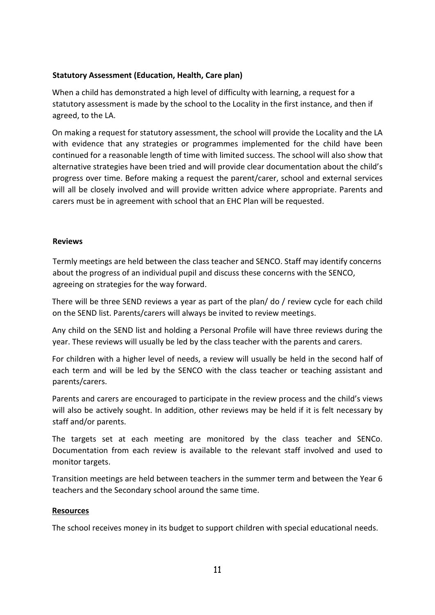## **Statutory Assessment (Education, Health, Care plan)**

When a child has demonstrated a high level of difficulty with learning, a request for a statutory assessment is made by the school to the Locality in the first instance, and then if agreed, to the LA.

On making a request for statutory assessment, the school will provide the Locality and the LA with evidence that any strategies or programmes implemented for the child have been continued for a reasonable length of time with limited success. The school will also show that alternative strategies have been tried and will provide clear documentation about the child's progress over time. Before making a request the parent/carer, school and external services will all be closely involved and will provide written advice where appropriate. Parents and carers must be in agreement with school that an EHC Plan will be requested.

#### **Reviews**

Termly meetings are held between the class teacher and SENCO. Staff may identify concerns about the progress of an individual pupil and discuss these concerns with the SENCO, agreeing on strategies for the way forward.

There will be three SEND reviews a year as part of the plan/ do / review cycle for each child on the SEND list. Parents/carers will always be invited to review meetings.

Any child on the SEND list and holding a Personal Profile will have three reviews during the year. These reviews will usually be led by the class teacher with the parents and carers.

For children with a higher level of needs, a review will usually be held in the second half of each term and will be led by the SENCO with the class teacher or teaching assistant and parents/carers.

Parents and carers are encouraged to participate in the review process and the child's views will also be actively sought. In addition, other reviews may be held if it is felt necessary by staff and/or parents.

The targets set at each meeting are monitored by the class teacher and SENCo. Documentation from each review is available to the relevant staff involved and used to monitor targets.

Transition meetings are held between teachers in the summer term and between the Year 6 teachers and the Secondary school around the same time.

#### **Resources**

The school receives money in its budget to support children with special educational needs.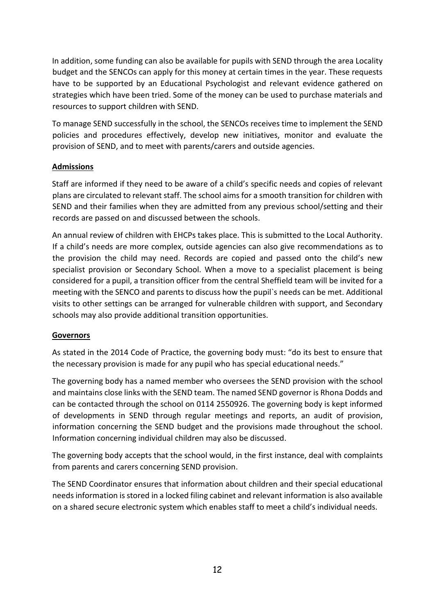In addition, some funding can also be available for pupils with SEND through the area Locality budget and the SENCOs can apply for this money at certain times in the year. These requests have to be supported by an Educational Psychologist and relevant evidence gathered on strategies which have been tried. Some of the money can be used to purchase materials and resources to support children with SEND.

To manage SEND successfully in the school, the SENCOs receives time to implement the SEND policies and procedures effectively, develop new initiatives, monitor and evaluate the provision of SEND, and to meet with parents/carers and outside agencies.

## **Admissions**

Staff are informed if they need to be aware of a child's specific needs and copies of relevant plans are circulated to relevant staff. The school aims for a smooth transition for children with SEND and their families when they are admitted from any previous school/setting and their records are passed on and discussed between the schools.

An annual review of children with EHCPs takes place. This is submitted to the Local Authority. If a child's needs are more complex, outside agencies can also give recommendations as to the provision the child may need. Records are copied and passed onto the child's new specialist provision or Secondary School. When a move to a specialist placement is being considered for a pupil, a transition officer from the central Sheffield team will be invited for a meeting with the SENCO and parents to discuss how the pupil`s needs can be met. Additional visits to other settings can be arranged for vulnerable children with support, and Secondary schools may also provide additional transition opportunities.

## **Governors**

As stated in the 2014 Code of Practice, the governing body must: "do its best to ensure that the necessary provision is made for any pupil who has special educational needs."

The governing body has a named member who oversees the SEND provision with the school and maintains close links with the SEND team. The named SEND governor is Rhona Dodds and can be contacted through the school on 0114 2550926. The governing body is kept informed of developments in SEND through regular meetings and reports, an audit of provision, information concerning the SEND budget and the provisions made throughout the school. Information concerning individual children may also be discussed.

The governing body accepts that the school would, in the first instance, deal with complaints from parents and carers concerning SEND provision.

The SEND Coordinator ensures that information about children and their special educational needs information is stored in a locked filing cabinet and relevant information is also available on a shared secure electronic system which enables staff to meet a child's individual needs.